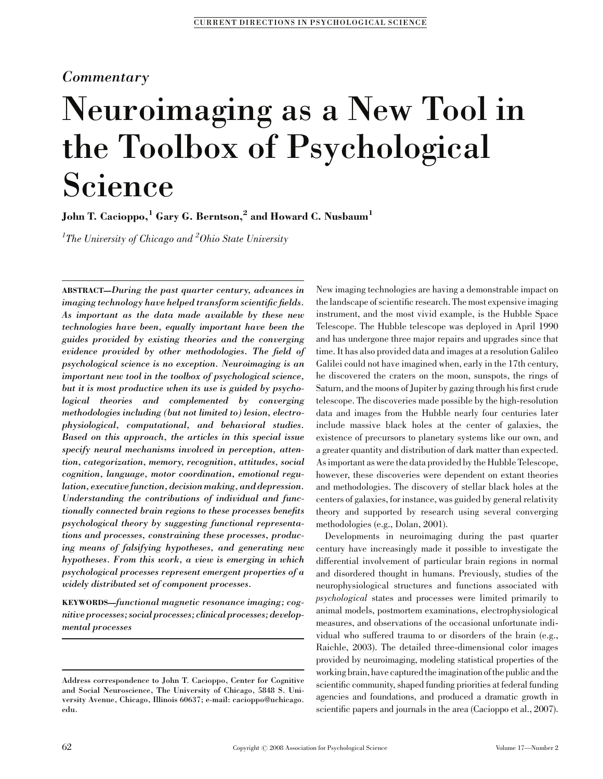# **Commentary**

# Neuroimaging as a New Tool in the Toolbox of Psychological Science

John T. Cacioppo,<sup>1</sup> Gary G. Berntson,<sup>2</sup> and Howard C. Nusbaum<sup>1</sup>

 $\it ^1$ The University of Chicago and  $\it ^2O$ hio State University

ABSTRACT—During the past quarter century, advances in imaging technology have helped transform scientific fields. As important as the data made available by these new technologies have been, equally important have been the guides provided by existing theories and the converging evidence provided by other methodologies. The field of psychological science is no exception. Neuroimaging is an important new tool in the toolbox of psychological science, but it is most productive when its use is guided by psychological theories and complemented by converging methodologies including (but not limited to) lesion, electrophysiological, computational, and behavioral studies. Based on this approach, the articles in this special issue specify neural mechanisms involved in perception, attention, categorization, memory, recognition, attitudes, social cognition, language, motor coordination, emotional regulation, executive function, decision making, and depression. Understanding the contributions of individual and functionally connected brain regions to these processes benefits psychological theory by suggesting functional representations and processes, constraining these processes, producing means of falsifying hypotheses, and generating new hypotheses. From this work, a view is emerging in which psychological processes represent emergent properties of a widely distributed set of component processes.

KEYWORDS—functional magnetic resonance imaging; cognitive processes; social processes; clinical processes; developmental processes

New imaging technologies are having a demonstrable impact on the landscape of scientific research. The most expensive imaging instrument, and the most vivid example, is the Hubble Space Telescope. The Hubble telescope was deployed in April 1990 and has undergone three major repairs and upgrades since that time. It has also provided data and images at a resolution Galileo Galilei could not have imagined when, early in the 17th century, he discovered the craters on the moon, sunspots, the rings of Saturn, and the moons of Jupiter by gazing through his first crude telescope. The discoveries made possible by the high-resolution data and images from the Hubble nearly four centuries later include massive black holes at the center of galaxies, the existence of precursors to planetary systems like our own, and a greater quantity and distribution of dark matter than expected. As important as were the data provided by the Hubble Telescope, however, these discoveries were dependent on extant theories and methodologies. The discovery of stellar black holes at the centers of galaxies, for instance, was guided by general relativity theory and supported by research using several converging methodologies (e.g., Dolan, 2001).

Developments in neuroimaging during the past quarter century have increasingly made it possible to investigate the differential involvement of particular brain regions in normal and disordered thought in humans. Previously, studies of the neurophysiological structures and functions associated with psychological states and processes were limited primarily to animal models, postmortem examinations, electrophysiological measures, and observations of the occasional unfortunate individual who suffered trauma to or disorders of the brain (e.g., Raichle, 2003). The detailed three-dimensional color images provided by neuroimaging, modeling statistical properties of the working brain, have captured the imagination of the public and the scientific community, shaped funding priorities at federal funding agencies and foundations, and produced a dramatic growth in scientific papers and journals in the area (Cacioppo et al., 2007).

Address correspondence to John T. Cacioppo, Center for Cognitive and Social Neuroscience, The University of Chicago, 5848 S. University Avenue, Chicago, Illinois 60637; e-mail: cacioppo@uchicago. edu.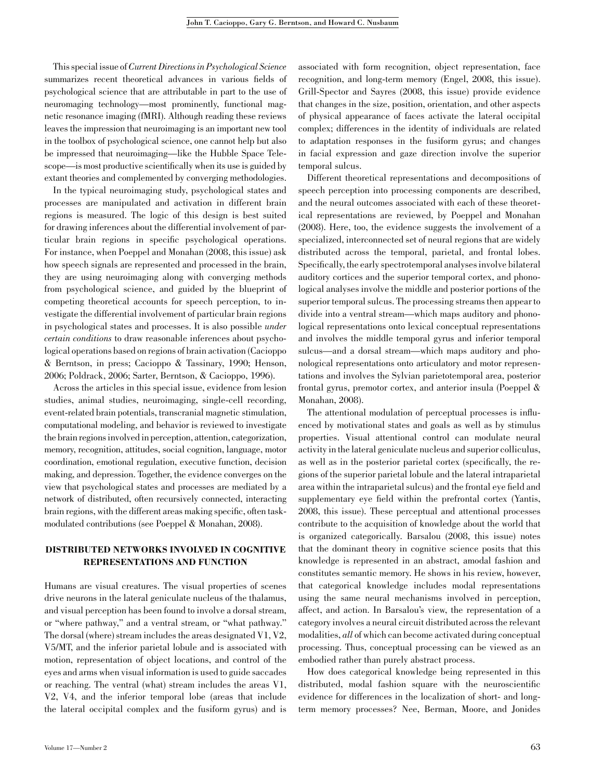This special issue of *Current Directions in Psychological Science* summarizes recent theoretical advances in various fields of psychological science that are attributable in part to the use of neuromaging technology—most prominently, functional magnetic resonance imaging (fMRI). Although reading these reviews leaves the impression that neuroimaging is an important new tool in the toolbox of psychological science, one cannot help but also be impressed that neuroimaging—like the Hubble Space Telescope—is most productive scientifically when its use is guided by extant theories and complemented by converging methodologies.

In the typical neuroimaging study, psychological states and processes are manipulated and activation in different brain regions is measured. The logic of this design is best suited for drawing inferences about the differential involvement of particular brain regions in specific psychological operations. For instance, when Poeppel and Monahan (2008, this issue) ask how speech signals are represented and processed in the brain, they are using neuroimaging along with converging methods from psychological science, and guided by the blueprint of competing theoretical accounts for speech perception, to investigate the differential involvement of particular brain regions in psychological states and processes. It is also possible under certain conditions to draw reasonable inferences about psychological operations based on regions of brain activation (Cacioppo & Berntson, in press; Cacioppo & Tassinary, 1990; Henson, 2006; Poldrack, 2006; Sarter, Berntson, & Cacioppo, 1996).

Across the articles in this special issue, evidence from lesion studies, animal studies, neuroimaging, single-cell recording, event-related brain potentials, transcranial magnetic stimulation, computational modeling, and behavior is reviewed to investigate the brain regions involved in perception, attention, categorization, memory, recognition, attitudes, social cognition, language, motor coordination, emotional regulation, executive function, decision making, and depression. Together, the evidence converges on the view that psychological states and processes are mediated by a network of distributed, often recursively connected, interacting brain regions, with the different areas making specific, often taskmodulated contributions (see Poeppel & Monahan, 2008).

## DISTRIBUTED NETWORKS INVOLVED IN COGNITIVE REPRESENTATIONS AND FUNCTION

Humans are visual creatures. The visual properties of scenes drive neurons in the lateral geniculate nucleus of the thalamus, and visual perception has been found to involve a dorsal stream, or ''where pathway,'' and a ventral stream, or ''what pathway.'' The dorsal (where) stream includes the areas designated V1, V2, V5/MT, and the inferior parietal lobule and is associated with motion, representation of object locations, and control of the eyes and arms when visual information is used to guide saccades or reaching. The ventral (what) stream includes the areas V1, V2, V4, and the inferior temporal lobe (areas that include the lateral occipital complex and the fusiform gyrus) and is associated with form recognition, object representation, face recognition, and long-term memory (Engel, 2008, this issue). Grill-Spector and Sayres (2008, this issue) provide evidence that changes in the size, position, orientation, and other aspects of physical appearance of faces activate the lateral occipital complex; differences in the identity of individuals are related to adaptation responses in the fusiform gyrus; and changes in facial expression and gaze direction involve the superior temporal sulcus.

Different theoretical representations and decompositions of speech perception into processing components are described, and the neural outcomes associated with each of these theoretical representations are reviewed, by Poeppel and Monahan (2008). Here, too, the evidence suggests the involvement of a specialized, interconnected set of neural regions that are widely distributed across the temporal, parietal, and frontal lobes. Specifically, the early spectrotemporal analyses involve bilateral auditory cortices and the superior temporal cortex, and phonological analyses involve the middle and posterior portions of the superior temporal sulcus. The processing streams then appear to divide into a ventral stream—which maps auditory and phonological representations onto lexical conceptual representations and involves the middle temporal gyrus and inferior temporal sulcus—and a dorsal stream—which maps auditory and phonological representations onto articulatory and motor representations and involves the Sylvian parietotemporal area, posterior frontal gyrus, premotor cortex, and anterior insula (Poeppel & Monahan, 2008).

The attentional modulation of perceptual processes is influenced by motivational states and goals as well as by stimulus properties. Visual attentional control can modulate neural activity in the lateral geniculate nucleus and superior colliculus, as well as in the posterior parietal cortex (specifically, the regions of the superior parietal lobule and the lateral intraparietal area within the intraparietal sulcus) and the frontal eye field and supplementary eye field within the prefrontal cortex (Yantis, 2008, this issue). These perceptual and attentional processes contribute to the acquisition of knowledge about the world that is organized categorically. Barsalou (2008, this issue) notes that the dominant theory in cognitive science posits that this knowledge is represented in an abstract, amodal fashion and constitutes semantic memory. He shows in his review, however, that categorical knowledge includes modal representations using the same neural mechanisms involved in perception, affect, and action. In Barsalou's view, the representation of a category involves a neural circuit distributed across the relevant modalities, all of which can become activated during conceptual processing. Thus, conceptual processing can be viewed as an embodied rather than purely abstract process.

How does categorical knowledge being represented in this distributed, modal fashion square with the neuroscientific evidence for differences in the localization of short- and longterm memory processes? Nee, Berman, Moore, and Jonides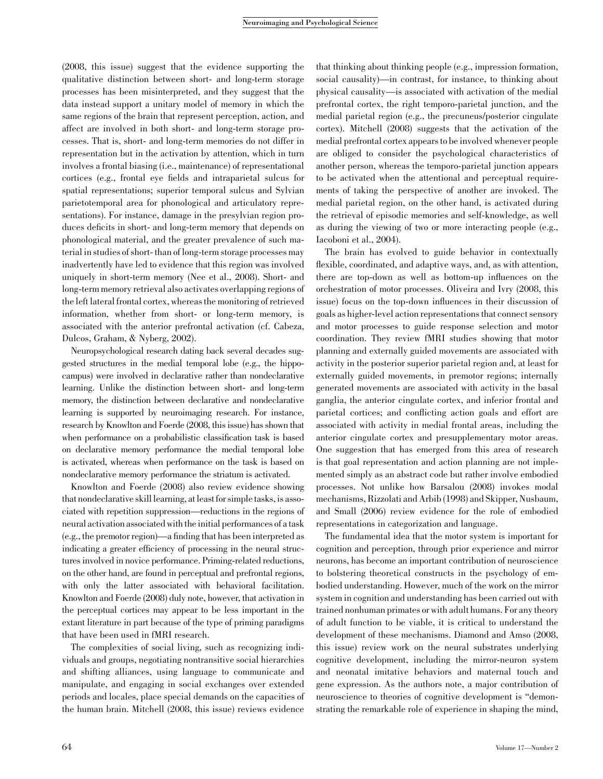(2008, this issue) suggest that the evidence supporting the qualitative distinction between short- and long-term storage processes has been misinterpreted, and they suggest that the data instead support a unitary model of memory in which the same regions of the brain that represent perception, action, and affect are involved in both short- and long-term storage processes. That is, short- and long-term memories do not differ in representation but in the activation by attention, which in turn involves a frontal biasing (i.e., maintenance) of representational cortices (e.g., frontal eye fields and intraparietal sulcus for spatial representations; superior temporal sulcus and Sylvian parietotemporal area for phonological and articulatory representations). For instance, damage in the presylvian region produces deficits in short- and long-term memory that depends on phonological material, and the greater prevalence of such material in studies of short- than of long-term storage processes may inadvertently have led to evidence that this region was involved uniquely in short-term memory (Nee et al., 2008). Short- and long-term memory retrieval also activates overlapping regions of the left lateral frontal cortex, whereas the monitoring of retrieved information, whether from short- or long-term memory, is associated with the anterior prefrontal activation (cf. Cabeza, Dulcos, Graham, & Nyberg, 2002).

Neuropsychological research dating back several decades suggested structures in the medial temporal lobe (e.g., the hippocampus) were involved in declarative rather than nondeclarative learning. Unlike the distinction between short- and long-term memory, the distinction between declarative and nondeclarative learning is supported by neuroimaging research. For instance, research by Knowlton and Foerde (2008, this issue) has shown that when performance on a probabilistic classification task is based on declarative memory performance the medial temporal lobe is activated, whereas when performance on the task is based on nondeclarative memory performance the striatum is activated.

Knowlton and Foerde (2008) also review evidence showing that nondeclarative skill learning, at least for simple tasks, is associated with repetition suppression—reductions in the regions of neural activation associated with the initial performances of a task (e.g., the premotor region)—a finding that has been interpreted as indicating a greater efficiency of processing in the neural structures involved in novice performance. Priming-related reductions, on the other hand, are found in perceptual and prefrontal regions, with only the latter associated with behavioral facilitation. Knowlton and Foerde (2008) duly note, however, that activation in the perceptual cortices may appear to be less important in the extant literature in part because of the type of priming paradigms that have been used in fMRI research.

The complexities of social living, such as recognizing individuals and groups, negotiating nontransitive social hierarchies and shifting alliances, using language to communicate and manipulate, and engaging in social exchanges over extended periods and locales, place special demands on the capacities of the human brain. Mitchell (2008, this issue) reviews evidence

that thinking about thinking people (e.g., impression formation, social causality)—in contrast, for instance, to thinking about physical causality—is associated with activation of the medial prefrontal cortex, the right temporo-parietal junction, and the medial parietal region (e.g., the precuneus/posterior cingulate cortex). Mitchell (2008) suggests that the activation of the medial prefrontal cortex appears to be involved whenever people are obliged to consider the psychological characteristics of another person, whereas the temporo-parietal junction appears to be activated when the attentional and perceptual requirements of taking the perspective of another are invoked. The medial parietal region, on the other hand, is activated during the retrieval of episodic memories and self-knowledge, as well as during the viewing of two or more interacting people (e.g., Iacoboni et al., 2004).

The brain has evolved to guide behavior in contextually flexible, coordinated, and adaptive ways, and, as with attention, there are top-down as well as bottom-up influences on the orchestration of motor processes. Oliveira and Ivry (2008, this issue) focus on the top-down influences in their discussion of goals as higher-level action representations that connect sensory and motor processes to guide response selection and motor coordination. They review fMRI studies showing that motor planning and externally guided movements are associated with activity in the posterior superior parietal region and, at least for externally guided movements, in premotor regions; internally generated movements are associated with activity in the basal ganglia, the anterior cingulate cortex, and inferior frontal and parietal cortices; and conflicting action goals and effort are associated with activity in medial frontal areas, including the anterior cingulate cortex and presupplementary motor areas. One suggestion that has emerged from this area of research is that goal representation and action planning are not implemented simply as an abstract code but rather involve embodied processes. Not unlike how Barsalou (2008) invokes modal mechanisms, Rizzolati and Arbib (1998) and Skipper, Nusbaum, and Small (2006) review evidence for the role of embodied representations in categorization and language.

The fundamental idea that the motor system is important for cognition and perception, through prior experience and mirror neurons, has become an important contribution of neuroscience to bolstering theoretical constructs in the psychology of embodied understanding. However, much of the work on the mirror system in cognition and understanding has been carried out with trained nonhuman primates or with adult humans. For any theory of adult function to be viable, it is critical to understand the development of these mechanisms. Diamond and Amso (2008, this issue) review work on the neural substrates underlying cognitive development, including the mirror-neuron system and neonatal imitative behaviors and maternal touch and gene expression. As the authors note, a major contribution of neuroscience to theories of cognitive development is ''demonstrating the remarkable role of experience in shaping the mind,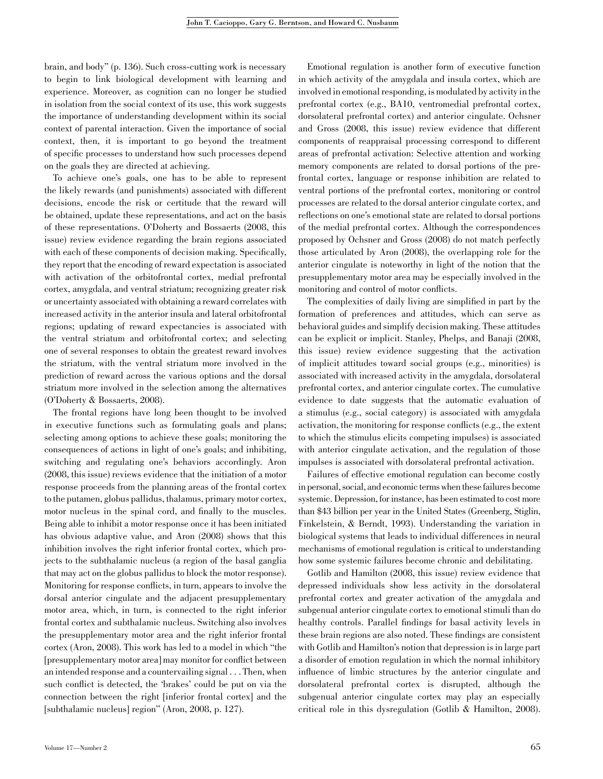brain, and body'' (p. 136). Such cross-cutting work is necessary to begin to link biological development with learning and experience. Moreover, as cognition can no longer be studied in isolation from the social context of its use, this work suggests the importance of understanding development within its social context of parental interaction. Given the importance of social context, then, it is important to go beyond the treatment of specific processes to understand how such processes depend on the goals they are directed at achieving.

To achieve one's goals, one has to be able to represent the likely rewards (and punishments) associated with different decisions, encode the risk or certitude that the reward will be obtained, update these representations, and act on the basis of these representations. O'Doherty and Bossaerts (2008, this issue) review evidence regarding the brain regions associated with each of these components of decision making. Specifically, they report that the encoding of reward expectation is associated with activation of the orbitofrontal cortex, medial prefrontal cortex, amygdala, and ventral striatum; recognizing greater risk or uncertainty associated with obtaining a reward correlates with increased activity in the anterior insula and lateral orbitofrontal regions; updating of reward expectancies is associated with the ventral striatum and orbitofrontal cortex; and selecting one of several responses to obtain the greatest reward involves the striatum, with the ventral striatum more involved in the prediction of reward across the various options and the dorsal striatum more involved in the selection among the alternatives (O'Doherty & Bossaerts, 2008).

The frontal regions have long been thought to be involved in executive functions such as formulating goals and plans; selecting among options to achieve these goals; monitoring the consequences of actions in light of one's goals; and inhibiting, switching and regulating one's behaviors accordingly. Aron (2008, this issue) reviews evidence that the initiation of a motor response proceeds from the planning areas of the frontal cortex to the putamen, globus pallidus, thalamus, primary motor cortex, motor nucleus in the spinal cord, and finally to the muscles. Being able to inhibit a motor response once it has been initiated has obvious adaptive value, and Aron (2008) shows that this inhibition involves the right inferior frontal cortex, which projects to the subthalamic nucleus (a region of the basal ganglia that may act on the globus pallidus to block the motor response). Monitoring for response conflicts, in turn, appears to involve the dorsal anterior cingulate and the adjacent presupplementary motor area, which, in turn, is connected to the right inferior frontal cortex and subthalamic nucleus. Switching also involves the presupplementary motor area and the right inferior frontal cortex (Aron, 2008). This work has led to a model in which ''the [presupplementary motor area] may monitor for conflict between an intended response and a countervailing signal . . . Then, when such conflict is detected, the 'brakes' could be put on via the connection between the right [inferior frontal cortex] and the [subthalamic nucleus] region'' (Aron, 2008, p. 127).

Emotional regulation is another form of executive function in which activity of the amygdala and insula cortex, which are involved in emotional responding, is modulated by activity in the prefrontal cortex (e.g., BA10, ventromedial prefrontal cortex, dorsolateral prefrontal cortex) and anterior cingulate. Ochsner and Gross (2008, this issue) review evidence that different components of reappraisal processing correspond to different areas of prefrontal activation: Selective attention and working memory components are related to dorsal portions of the prefrontal cortex, language or response inhibition are related to ventral portions of the prefrontal cortex, monitoring or control processes are related to the dorsal anterior cingulate cortex, and reflections on one's emotional state are related to dorsal portions of the medial prefrontal cortex. Although the correspondences proposed by Ochsner and Gross (2008) do not match perfectly those articulated by Aron (2008), the overlapping role for the anterior cingulate is noteworthy in light of the notion that the presupplementary motor area may be especially involved in the monitoring and control of motor conflicts.

The complexities of daily living are simplified in part by the formation of preferences and attitudes, which can serve as behavioral guides and simplify decision making. These attitudes can be explicit or implicit. Stanley, Phelps, and Banaji (2008, this issue) review evidence suggesting that the activation of implicit attitudes toward social groups (e.g., minorities) is associated with increased activity in the amygdala, dorsolateral prefrontal cortex, and anterior cingulate cortex. The cumulative evidence to date suggests that the automatic evaluation of a stimulus (e.g., social category) is associated with amygdala activation, the monitoring for response conflicts (e.g., the extent to which the stimulus elicits competing impulses) is associated with anterior cingulate activation, and the regulation of those impulses is associated with dorsolateral prefrontal activation.

Failures of effective emotional regulation can become costly in personal, social, and economic terms when these failures become systemic. Depression, for instance, has been estimated to cost more than \$43 billion per year in the United States (Greenberg, Stiglin, Finkelstein, & Berndt, 1993). Understanding the variation in biological systems that leads to individual differences in neural mechanisms of emotional regulation is critical to understanding how some systemic failures become chronic and debilitating.

Gotlib and Hamilton (2008, this issue) review evidence that depressed individuals show less activity in the dorsolateral prefrontal cortex and greater activation of the amygdala and subgenual anterior cingulate cortex to emotional stimuli than do healthy controls. Parallel findings for basal activity levels in these brain regions are also noted. These findings are consistent with Gotlib and Hamilton's notion that depression is in large part a disorder of emotion regulation in which the normal inhibitory influence of limbic structures by the anterior cingulate and dorsolateral prefrontal cortex is disrupted, although the subgenual anterior cingulate cortex may play an especially critical role in this dysregulation (Gotlib & Hamilton, 2008).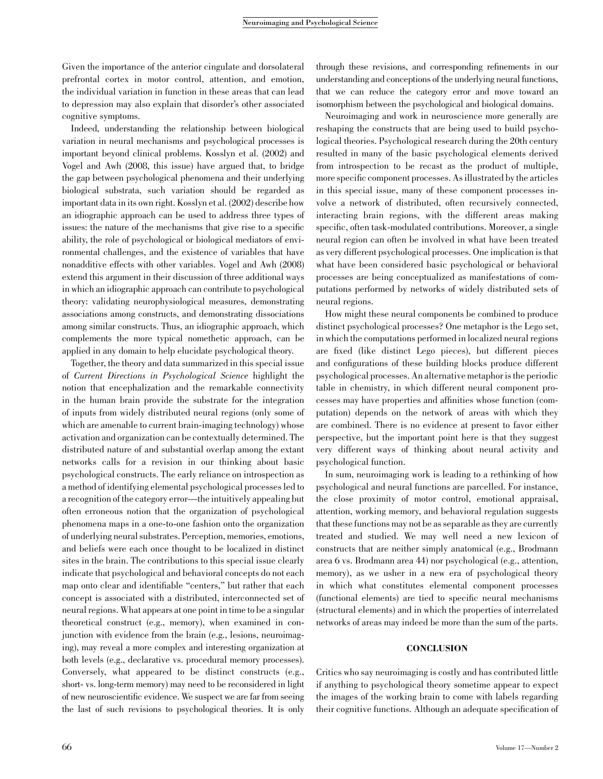Given the importance of the anterior cingulate and dorsolateral prefrontal cortex in motor control, attention, and emotion, the individual variation in function in these areas that can lead to depression may also explain that disorder's other associated cognitive symptoms.

Indeed, understanding the relationship between biological variation in neural mechanisms and psychological processes is important beyond clinical problems. Kosslyn et al. (2002) and Vogel and Awh (2008, this issue) have argued that, to bridge the gap between psychological phenomena and their underlying biological substrata, such variation should be regarded as important data in its own right. Kosslyn et al. (2002) describe how an idiographic approach can be used to address three types of issues: the nature of the mechanisms that give rise to a specific ability, the role of psychological or biological mediators of environmental challenges, and the existence of variables that have nonadditive effects with other variables. Vogel and Awh (2008) extend this argument in their discussion of three additional ways in which an idiographic approach can contribute to psychological theory: validating neurophysiological measures, demonstrating associations among constructs, and demonstrating dissociations among similar constructs. Thus, an idiographic approach, which complements the more typical nomethetic approach, can be applied in any domain to help elucidate psychological theory.

Together, the theory and data summarized in this special issue of Current Directions in Psychological Science highlight the notion that encephalization and the remarkable connectivity in the human brain provide the substrate for the integration of inputs from widely distributed neural regions (only some of which are amenable to current brain-imaging technology) whose activation and organization can be contextually determined. The distributed nature of and substantial overlap among the extant networks calls for a revision in our thinking about basic psychological constructs. The early reliance on introspection as a method of identifying elemental psychological processes led to a recognition of the category error—the intuitively appealing but often erroneous notion that the organization of psychological phenomena maps in a one-to-one fashion onto the organization of underlying neural substrates. Perception, memories, emotions, and beliefs were each once thought to be localized in distinct sites in the brain. The contributions to this special issue clearly indicate that psychological and behavioral concepts do not each map onto clear and identifiable "centers," but rather that each concept is associated with a distributed, interconnected set of neural regions. What appears at one point in time to be a singular theoretical construct (e.g., memory), when examined in conjunction with evidence from the brain (e.g., lesions, neuroimaging), may reveal a more complex and interesting organization at both levels (e.g., declarative vs. procedural memory processes). Conversely, what appeared to be distinct constructs (e.g., short- vs. long-term memory) may need to be reconsidered in light of new neuroscientific evidence. We suspect we are far from seeing the last of such revisions to psychological theories. It is only

Neuroimaging and work in neuroscience more generally are reshaping the constructs that are being used to build psychological theories. Psychological research during the 20th century resulted in many of the basic psychological elements derived from introspection to be recast as the product of multiple, more specific component processes. As illustrated by the articles in this special issue, many of these component processes involve a network of distributed, often recursively connected, interacting brain regions, with the different areas making specific, often task-modulated contributions. Moreover, a single neural region can often be involved in what have been treated as very different psychological processes. One implication is that what have been considered basic psychological or behavioral processes are being conceptualized as manifestations of computations performed by networks of widely distributed sets of neural regions.

How might these neural components be combined to produce distinct psychological processes? One metaphor is the Lego set, in which the computations performed in localized neural regions are fixed (like distinct Lego pieces), but different pieces and configurations of these building blocks produce different psychological processes. An alternative metaphor is the periodic table in chemistry, in which different neural component processes may have properties and affinities whose function (computation) depends on the network of areas with which they are combined. There is no evidence at present to favor either perspective, but the important point here is that they suggest very different ways of thinking about neural activity and psychological function.

In sum, neuroimaging work is leading to a rethinking of how psychological and neural functions are parcelled. For instance, the close proximity of motor control, emotional appraisal, attention, working memory, and behavioral regulation suggests that these functions may not be as separable as they are currently treated and studied. We may well need a new lexicon of constructs that are neither simply anatomical (e.g., Brodmann area 6 vs. Brodmann area 44) nor psychological (e.g., attention, memory), as we usher in a new era of psychological theory in which what constitutes elemental component processes (functional elements) are tied to specific neural mechanisms (structural elements) and in which the properties of interrelated networks of areas may indeed be more than the sum of the parts.

### **CONCLUSION**

Critics who say neuroimaging is costly and has contributed little if anything to psychological theory sometime appear to expect the images of the working brain to come with labels regarding their cognitive functions. Although an adequate specification of